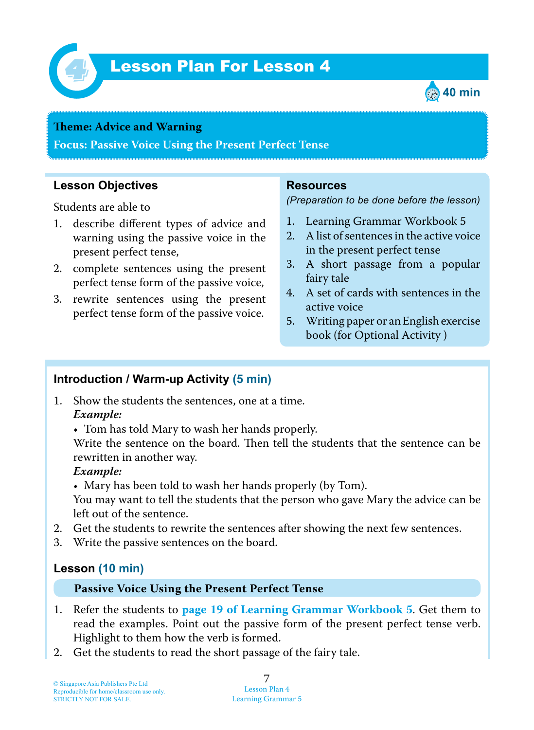

# *4* Lesson Plan For Lesson 4



#### **Teme : Advice and Warning**

**Focus: Passive Voice Using the Present Perfect Tense**

### **Lesson Objectives**

Students are able to

- 1. describe different types of advice and warning using the passive voice in the present perfect tense,
- 2. complete sentences using the present perfect tense form of the passive voice,
- 3. rewrite sentences using the present perfect tense form of the passive voice.

#### **Resources**

*(Preparation to be done before the lesson)*

- 1. Learning Grammar Workbook 5
- 2. A list of sentences in the active voice in the present perfect tense
- 3. A short passage from a popular fairy tale
- 4. A set of cards with sentences in the active voice
- 5. Writing paper or an English exercise book (for Optional Activity )

## **Introduction / Warm-up Activity (5 min)**

- 1. Show the students the sentences, one at a time.  *Example:*
	- Tom has told Mary to wash her hands properly.

Write the sentence on the board. Then tell the students that the sentence can be rewritten in another way.

#### *Example:*

• Mary has been told to wash her hands properly (by Tom).

You may want to tell the students that the person who gave Mary the advice can be left out of the sentence.

- 2. Get the students to rewrite the sentences after showing the next few sentences.
- 3. Write the passive sentences on the board.

## **Lesson (10 min)**

#### **Passive Voice Using the Present Perfect Tense**

- 1. Refer the students to **page 19 of Learning Grammar Workbook 5** . Get them to read the examples. Point out the passive form of the present perfect tense verb. Highlight to them how the verb is formed.
- 2. Get the students to read the short passage of the fairy tale.